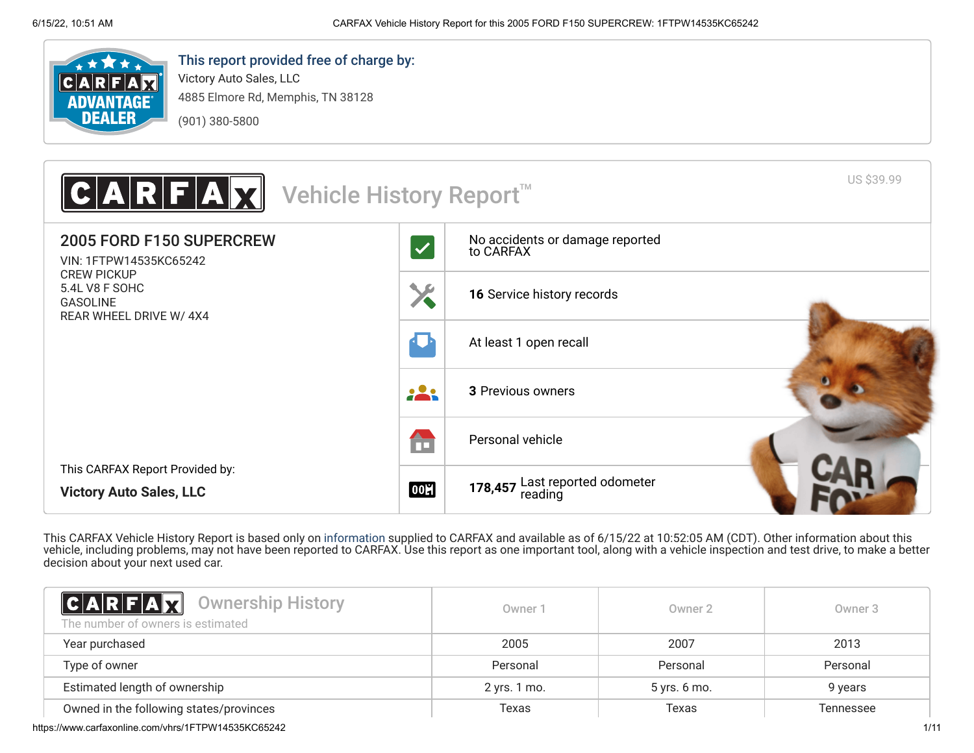

# This report provided free of charge by:

Victory Auto Sales, LLC 4885 Elmore Rd, Memphis, TN 38128 (901) 380-5800



This CARFAX Vehicle History Report is based only on [information](http://www.carfax.com/company/vhr-data-sources) supplied to CARFAX and available as of 6/15/22 at 10:52:05 AM (CDT). Other information about this vehicle, including problems, may not have been reported to CARFAX. Use this report as one important tool, along with a vehicle inspection and test drive, to make a better decision about your next used car.

<span id="page-0-0"></span>

| <b>CARFAX</b> Ownership History<br>The number of owners is estimated | Owner 1      | Owner 2      | Owner 3   |
|----------------------------------------------------------------------|--------------|--------------|-----------|
| Year purchased                                                       | 2005         | 2007         | 2013      |
| Type of owner                                                        | Personal     | Personal     | Personal  |
| Estimated length of ownership                                        | 2 yrs. 1 mo. | 5 yrs. 6 mo. | 9 years   |
| Owned in the following states/provinces                              | Texas        | Texas        | Tennessee |

https://www.carfaxonline.com/vhrs/1FTPW14535KC65242 1/11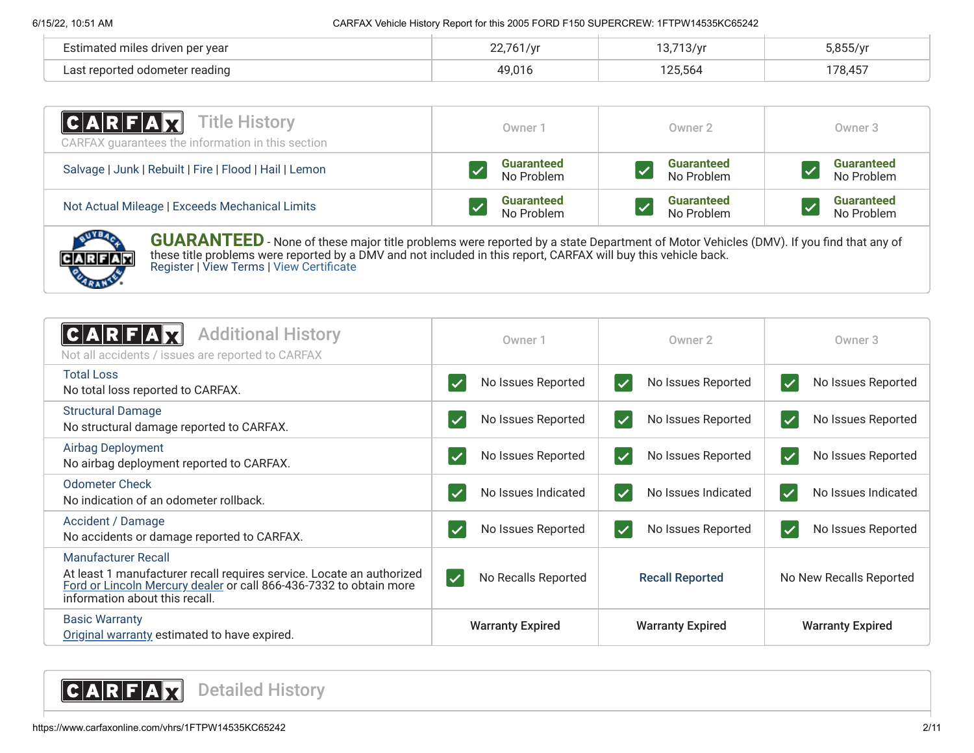| Estimated miles driven per year           | 761    | 12712/vr<br>∵∨ /ت<br>ີ. |         |
|-------------------------------------------|--------|-------------------------|---------|
| l odometer reading<br>∣ aet ran∩r<br>ה ה־ | 10 010 | 125564                  | 178,457 |

| $ C A R F A \vec{X}$<br>Title History<br>CARFAX guarantees the information in this section | Owner 1           | Owner 2           | Owner 3           |
|--------------------------------------------------------------------------------------------|-------------------|-------------------|-------------------|
| Salvage   Junk   Rebuilt   Fire   Flood   Hail   Lemon                                     | <b>Guaranteed</b> | <b>Guaranteed</b> | <b>Guaranteed</b> |
|                                                                                            | No Problem        | No Problem        | No Problem        |
| Not Actual Mileage   Exceeds Mechanical Limits                                             | <b>Guaranteed</b> | <b>Guaranteed</b> | <b>Guaranteed</b> |
|                                                                                            | No Problem        | No Problem        | No Problem        |



**GUARANTEED** - None of these major title problems were reported by a state Department of Motor Vehicles (DMV). If you find that any of these title problems were reported by a DMV and not included in this report, CARFAX will buy this vehicle back. [Register](https://www.carfax.com/Service/bbg) | [View Terms](http://www.carfaxonline.com/legal/bbgTerms) | [View Certificate](https://www.carfaxonline.com/vhrs/1FTPW14535KC65242)

<span id="page-1-0"></span>

| <b>Additional History</b><br>C A R F<br>Not all accidents / issues are reported to CARFAX                                                                                                                   | Owner 1                                   | Owner 2                 | Owner 3                 |
|-------------------------------------------------------------------------------------------------------------------------------------------------------------------------------------------------------------|-------------------------------------------|-------------------------|-------------------------|
| <b>Total Loss</b>                                                                                                                                                                                           | No Issues Reported                        | No Issues Reported      | No Issues Reported      |
| No total loss reported to CARFAX.                                                                                                                                                                           |                                           | $\blacktriangledown$    | $\blacktriangledown$    |
| <b>Structural Damage</b>                                                                                                                                                                                    | No Issues Reported                        | No Issues Reported      | No Issues Reported      |
| No structural damage reported to CARFAX.                                                                                                                                                                    |                                           | $\blacktriangledown$    | $\blacktriangledown$    |
| Airbag Deployment                                                                                                                                                                                           | No Issues Reported                        | No Issues Reported      | No Issues Reported      |
| No airbag deployment reported to CARFAX.                                                                                                                                                                    |                                           | $\overline{\checkmark}$ | $\blacktriangledown$    |
| <b>Odometer Check</b>                                                                                                                                                                                       | No Issues Indicated                       | No Issues Indicated     | No Issues Indicated     |
| No indication of an odometer rollback.                                                                                                                                                                      |                                           | $\blacktriangledown$    | $\blacktriangledown$    |
| Accident / Damage                                                                                                                                                                                           | No Issues Reported                        | No Issues Reported      | No Issues Reported      |
| No accidents or damage reported to CARFAX.                                                                                                                                                                  |                                           | $\blacktriangledown$    | $\blacktriangledown$    |
| <b>Manufacturer Recall</b><br>At least 1 manufacturer recall requires service. Locate an authorized<br>Ford or Lincoln Mercury dealer or call 866-436-7332 to obtain more<br>information about this recall. | $\vert \checkmark$<br>No Recalls Reported | <b>Recall Reported</b>  | No New Recalls Reported |
| <b>Basic Warranty</b><br>Original warranty estimated to have expired.                                                                                                                                       | <b>Warranty Expired</b>                   | <b>Warranty Expired</b> | <b>Warranty Expired</b> |

<span id="page-1-1"></span>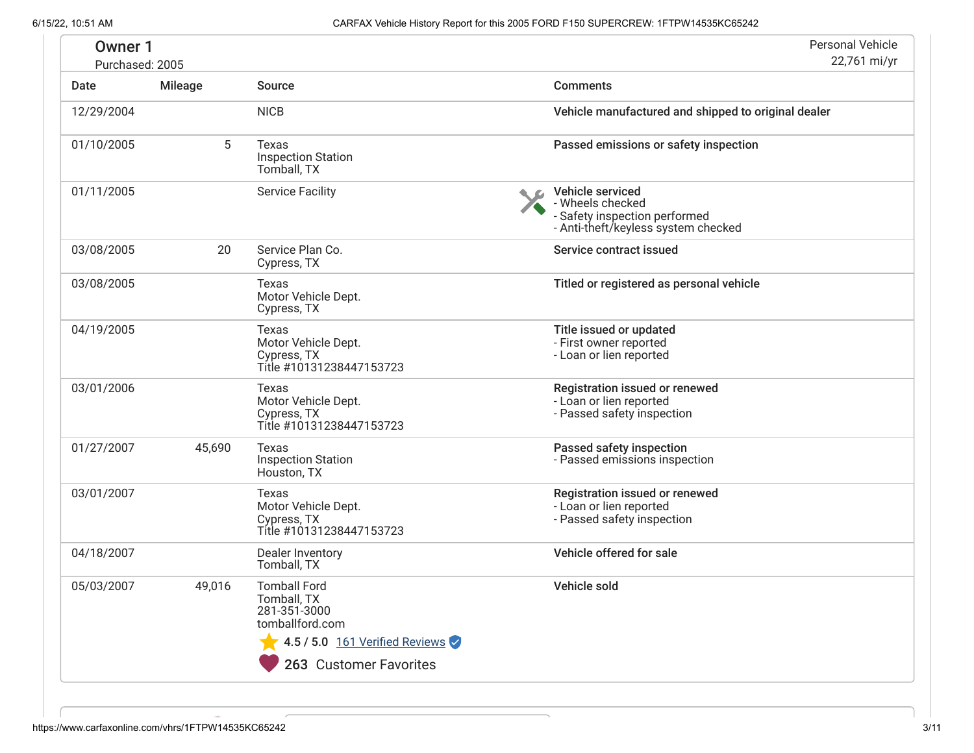| Owner 1<br>Purchased: 2005 |                |                                                                                | <b>Personal Vehicle</b><br>22,761 mi/yr                                                                      |
|----------------------------|----------------|--------------------------------------------------------------------------------|--------------------------------------------------------------------------------------------------------------|
| Date                       | <b>Mileage</b> | <b>Source</b>                                                                  | <b>Comments</b>                                                                                              |
| 12/29/2004                 |                | <b>NICB</b>                                                                    | Vehicle manufactured and shipped to original dealer                                                          |
| 01/10/2005                 | 5              | Texas<br><b>Inspection Station</b><br>Tomball, TX                              | Passed emissions or safety inspection                                                                        |
| 01/11/2005                 |                | <b>Service Facility</b>                                                        | Vehicle serviced<br>- Wheels checked<br>- Safety inspection performed<br>- Anti-theft/keyless system checked |
| 03/08/2005                 | 20             | Service Plan Co.<br>Cypress, TX                                                | Service contract issued                                                                                      |
| 03/08/2005                 |                | Texas<br>Motor Vehicle Dept.<br>Cypress, TX                                    | Titled or registered as personal vehicle                                                                     |
| 04/19/2005                 |                | Texas<br>Motor Vehicle Dept.<br>Cypress, TX<br>Title #10131238447153723        | Title issued or updated<br>- First owner reported<br>- Loan or lien reported                                 |
| 03/01/2006                 |                | Texas<br>Motor Vehicle Dept.<br>Cypress, TX<br>Title #10131238447153723        | Registration issued or renewed<br>- Loan or lien reported<br>- Passed safety inspection                      |
| 01/27/2007                 | 45,690         | Texas<br><b>Inspection Station</b><br>Houston, TX                              | Passed safety inspection<br>- Passed emissions inspection                                                    |
| 03/01/2007                 |                | Texas<br>Motor Vehicle Dept.<br>Cypress, TX<br>Title #10131238447153723        | Registration issued or renewed<br>- Loan or lien reported<br>- Passed safety inspection                      |
| 04/18/2007                 |                | Dealer Inventory<br>Tomball, TX                                                | Vehicle offered for sale                                                                                     |
| 05/03/2007                 | 49,016         | Tomball Ford<br>Tomball, TX<br>281-351-3000<br>tomballford.com                 | Vehicle sold                                                                                                 |
|                            |                | $\blacktriangleright$ 4.5 / 5.0 161 Verified Reviews<br>263 Customer Favorites |                                                                                                              |

<span id="page-2-0"></span> $\sim$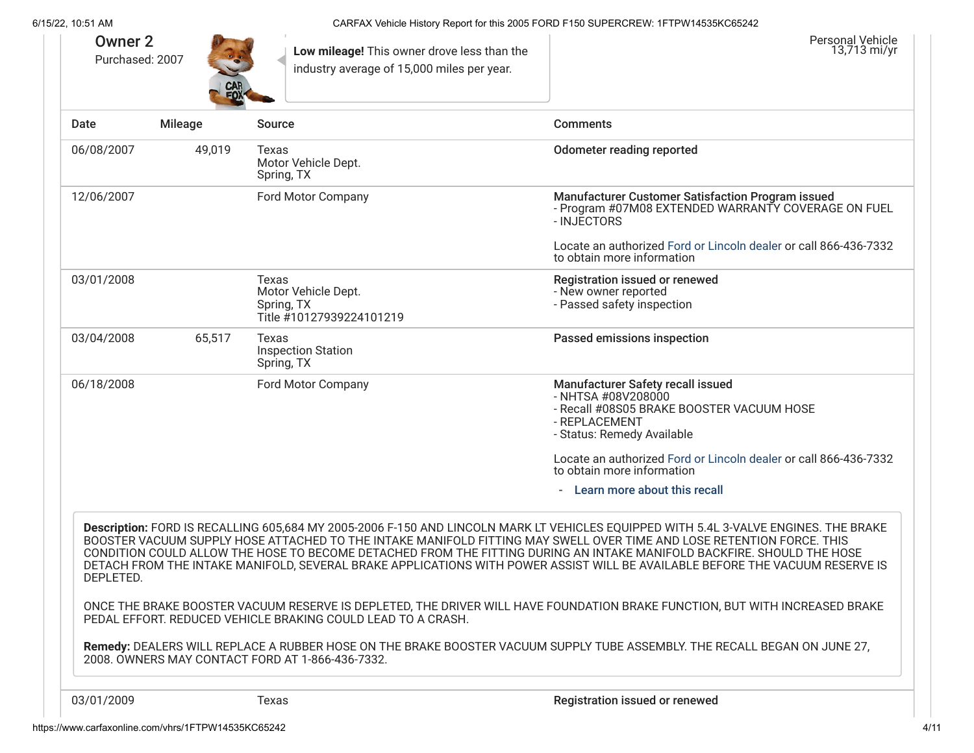| <b>Owner 2</b><br>Purchased: 2007 | CAR<br>FOX     | Low mileage! This owner drove less than the<br>industry average of 15,000 miles per year. | <b>Personal Vehicle</b><br>13,713 mi/yr                                                                                                                                                                                                                                                                                                                                                                                                                                                                                 |
|-----------------------------------|----------------|-------------------------------------------------------------------------------------------|-------------------------------------------------------------------------------------------------------------------------------------------------------------------------------------------------------------------------------------------------------------------------------------------------------------------------------------------------------------------------------------------------------------------------------------------------------------------------------------------------------------------------|
| Date                              | <b>Mileage</b> | <b>Source</b>                                                                             | <b>Comments</b>                                                                                                                                                                                                                                                                                                                                                                                                                                                                                                         |
| 06/08/2007                        | 49,019         | Texas<br>Motor Vehicle Dept.<br>Spring, TX                                                | <b>Odometer reading reported</b>                                                                                                                                                                                                                                                                                                                                                                                                                                                                                        |
| 12/06/2007                        |                | Ford Motor Company                                                                        | Manufacturer Customer Satisfaction Program issued<br>- Program #07M08 EXTENDED WARRANTY COVERAGE ON FUEL<br>- INJECTORS                                                                                                                                                                                                                                                                                                                                                                                                 |
|                                   |                |                                                                                           | Locate an authorized Ford or Lincoln dealer or call 866-436-7332<br>to obtain more information                                                                                                                                                                                                                                                                                                                                                                                                                          |
| 03/01/2008                        |                | Texas<br>Motor Vehicle Dept.<br>Spring, TX<br>Title #10127939224101219                    | <b>Registration issued or renewed</b><br>- New owner reported<br>- Passed safety inspection                                                                                                                                                                                                                                                                                                                                                                                                                             |
| 03/04/2008                        | 65,517         | Texas<br><b>Inspection Station</b><br>Spring, TX                                          | Passed emissions inspection                                                                                                                                                                                                                                                                                                                                                                                                                                                                                             |
| 06/18/2008                        |                | Ford Motor Company                                                                        | Manufacturer Safety recall issued<br>- NHTSA #08V208000<br>- Recall #08S05 BRAKE BOOSTER VACUUM HOSE<br>- REPLACEMENT<br>- Status: Remedy Available                                                                                                                                                                                                                                                                                                                                                                     |
|                                   |                |                                                                                           | Locate an authorized Ford or Lincoln dealer or call 866-436-7332<br>to obtain more information                                                                                                                                                                                                                                                                                                                                                                                                                          |
|                                   |                |                                                                                           | Learn more about this recall                                                                                                                                                                                                                                                                                                                                                                                                                                                                                            |
| DEPLETED.                         |                |                                                                                           | Description: FORD IS RECALLING 605,684 MY 2005-2006 F-150 AND LINCOLN MARK LT VEHICLES EQUIPPED WITH 5.4L 3-VALVE ENGINES. THE BRAKE<br>BOOSTER VACUUM SUPPLY HOSE ATTACHED TO THE INTAKE MANIFOLD FITTING MAY SWELL OVER TIME AND LOSE RETENTION FORCE. THIS<br>CONDITION COULD ALLOW THE HOSE TO BECOME DETACHED FROM THE FITTING DURING AN INTAKE MANIFOLD BACKFIRE. SHOULD THE HOSE<br>DETACH FROM THE INTAKE MANIFOLD, SEVERAL BRAKE APPLICATIONS WITH POWER ASSIST WILL BE AVAILABLE BEFORE THE VACUUM RESERVE IS |
|                                   |                | PEDAL EFFORT. REDUCED VEHICLE BRAKING COULD LEAD TO A CRASH.                              | ONCE THE BRAKE BOOSTER VACUUM RESERVE IS DEPLETED, THE DRIVER WILL HAVE FOUNDATION BRAKE FUNCTION, BUT WITH INCREASED BRAKE                                                                                                                                                                                                                                                                                                                                                                                             |
|                                   |                | 2008. OWNERS MAY CONTACT FORD AT 1-866-436-7332.                                          | Remedy: DEALERS WILL REPLACE A RUBBER HOSE ON THE BRAKE BOOSTER VACUUM SUPPLY TUBE ASSEMBLY. THE RECALL BEGAN ON JUNE 27,                                                                                                                                                                                                                                                                                                                                                                                               |
| 03/01/2009                        |                | Texas                                                                                     | Registration issued or renewed                                                                                                                                                                                                                                                                                                                                                                                                                                                                                          |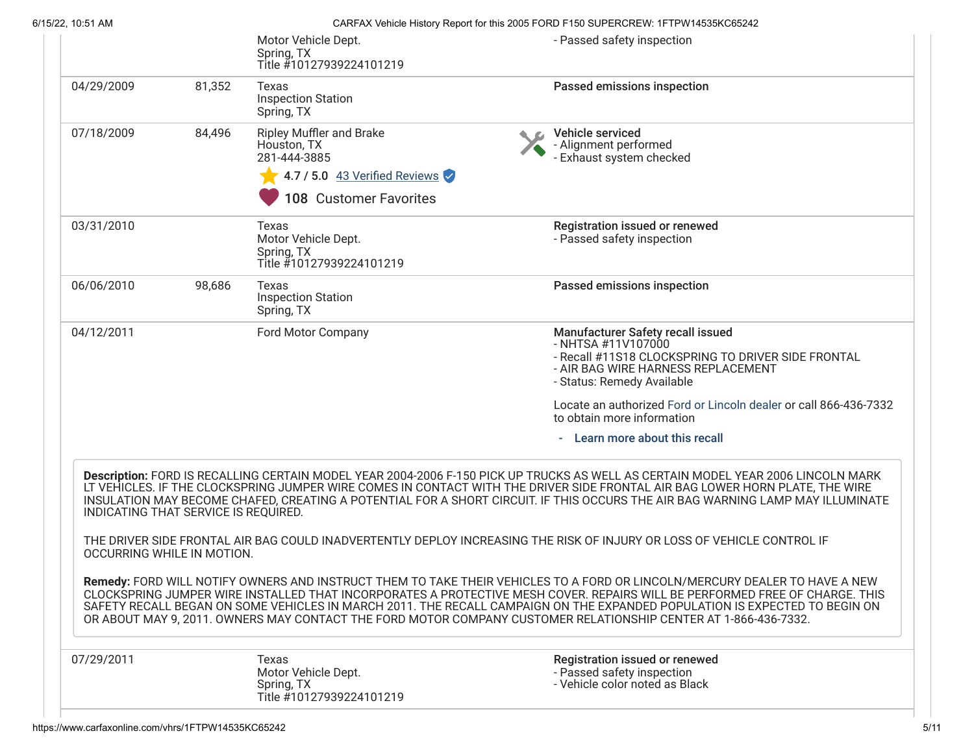| 6/15/22, 10:51 AM                    |        |                                                                                                                    | CARFAX Vehicle History Report for this 2005 FORD F150 SUPERCREW: 1FTPW14535KC65242                                                                                                                                                                                                                                                                                                                                                                                                                         |
|--------------------------------------|--------|--------------------------------------------------------------------------------------------------------------------|------------------------------------------------------------------------------------------------------------------------------------------------------------------------------------------------------------------------------------------------------------------------------------------------------------------------------------------------------------------------------------------------------------------------------------------------------------------------------------------------------------|
|                                      |        | Motor Vehicle Dept.<br>Spring, TX<br>Title #10127939224101219                                                      | - Passed safety inspection                                                                                                                                                                                                                                                                                                                                                                                                                                                                                 |
| 04/29/2009                           | 81,352 | Texas<br><b>Inspection Station</b><br>Spring, TX                                                                   | Passed emissions inspection                                                                                                                                                                                                                                                                                                                                                                                                                                                                                |
| 07/18/2009                           | 84,496 | Ripley Muffler and Brake<br>Houston, TX<br>281-444-3885<br>4.7 / 5.0 43 Verified Reviews<br>108 Customer Favorites | Vehicle serviced<br>- Alignment performed<br>- Exhaust system checked                                                                                                                                                                                                                                                                                                                                                                                                                                      |
| 03/31/2010                           |        | Texas<br>Motor Vehicle Dept.<br>Spring, TX<br>Title #10127939224101219                                             | Registration issued or renewed<br>- Passed safety inspection                                                                                                                                                                                                                                                                                                                                                                                                                                               |
| 06/06/2010                           | 98,686 | Texas<br><b>Inspection Station</b><br>Spring, TX                                                                   | Passed emissions inspection                                                                                                                                                                                                                                                                                                                                                                                                                                                                                |
| 04/12/2011                           |        | Ford Motor Company                                                                                                 | Manufacturer Safety recall issued<br>- NHTSA #11V107000<br>- Recall #11S18 CLOCKSPRING TO DRIVER SIDE FRONTAL<br>- AIR BAG WIRE HARNESS REPLACEMENT<br>- Status: Remedy Available                                                                                                                                                                                                                                                                                                                          |
|                                      |        |                                                                                                                    | Locate an authorized Ford or Lincoln dealer or call 866-436-7332<br>to obtain more information                                                                                                                                                                                                                                                                                                                                                                                                             |
|                                      |        |                                                                                                                    | - Learn more about this recall                                                                                                                                                                                                                                                                                                                                                                                                                                                                             |
| INDICATING THAT SERVICE IS REQUIRED. |        |                                                                                                                    | Description: FORD IS RECALLING CERTAIN MODEL YEAR 2004-2006 F-150 PICK UP TRUCKS AS WELL AS CERTAIN MODEL YEAR 2006 LINCOLN MARK<br>LT VEHICLES. IF THE CLOCKSPRING JUMPER WIRE COMES IN CONTACT WITH THE DRIVER SIDE FRONTAL AIR BAG LOWER HORN PLATE, THE WIRE<br>INSULATION MAY BECOME CHAFED, CREATING A POTENTIAL FOR A SHORT CIRCUIT. IF THIS OCCURS THE AIR BAG WARNING LAMP MAY ILLUMINATE                                                                                                         |
| OCCURRING WHILE IN MOTION.           |        |                                                                                                                    | THE DRIVER SIDE FRONTAL AIR BAG COULD INADVERTENTLY DEPLOY INCREASING THE RISK OF INJURY OR LOSS OF VEHICLE CONTROL IF                                                                                                                                                                                                                                                                                                                                                                                     |
|                                      |        |                                                                                                                    | Remedy: FORD WILL NOTIFY OWNERS AND INSTRUCT THEM TO TAKE THEIR VEHICLES TO A FORD OR LINCOLN/MERCURY DEALER TO HAVE A NEW<br>CLOCKSPRING JUMPER WIRE INSTALLED THAT INCORPORATES A PROTECTIVE MESH COVER. REPAIRS WILL BE PERFORMED FREE OF CHARGE. THIS<br>SAFETY RECALL BEGAN ON SOME VEHICLES IN MARCH 2011. THE RECALL CAMPAIGN ON THE EXPANDED POPULATION IS EXPECTED TO BEGIN ON<br>OR ABOUT MAY 9, 2011. OWNERS MAY CONTACT THE FORD MOTOR COMPANY CUSTOMER RELATIONSHIP CENTER AT 1-866-436-7332. |
| 07/29/2011                           |        | Texas<br>Motor Vehicle Dept.<br>Spring, TX<br>Title #10127939224101219                                             | Registration issued or renewed<br>- Passed safety inspection<br>- Vehicle color noted as Black                                                                                                                                                                                                                                                                                                                                                                                                             |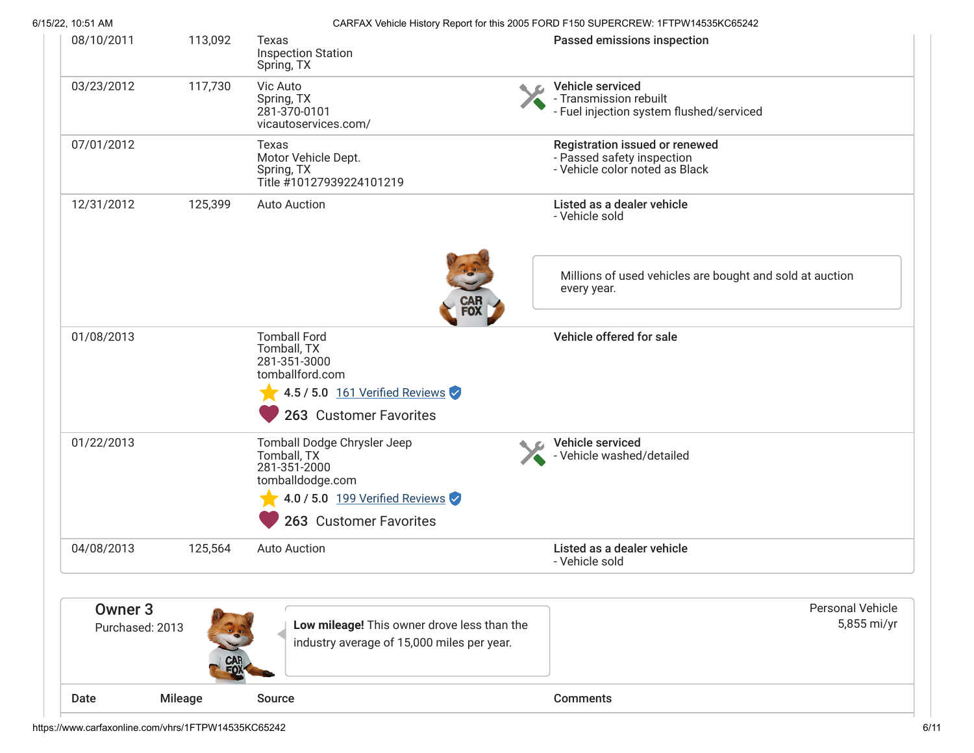| 6/15/22, 10:51 AM                 |         |                                                                                                                                            | CARFAX Vehicle History Report for this 2005 FORD F150 SUPERCREW: 1FTPW14535KC65242             |
|-----------------------------------|---------|--------------------------------------------------------------------------------------------------------------------------------------------|------------------------------------------------------------------------------------------------|
| 08/10/2011                        | 113,092 | Texas<br><b>Inspection Station</b><br>Spring, TX                                                                                           | Passed emissions inspection                                                                    |
| 03/23/2012                        | 117,730 | Vic Auto<br>Spring, TX<br>281-370-0101<br>vicautoservices.com/                                                                             | Vehicle serviced<br>- Transmission rebuilt<br>- Fuel injection system flushed/serviced         |
| 07/01/2012                        |         | Texas<br>Motor Vehicle Dept.<br>Spring, TX<br>Title #10127939224101219                                                                     | Registration issued or renewed<br>- Passed safety inspection<br>- Vehicle color noted as Black |
| 12/31/2012                        | 125,399 | <b>Auto Auction</b>                                                                                                                        | Listed as a dealer vehicle<br>- Vehicle sold                                                   |
|                                   |         | CAR<br>Fox                                                                                                                                 | Millions of used vehicles are bought and sold at auction<br>every year.                        |
| 01/08/2013                        |         | <b>Tomball Ford</b><br>Tomball, TX<br>281-351-3000<br>tomballford.com<br>4.5 / 5.0 161 Verified Reviews<br>263 Customer Favorites          | Vehicle offered for sale                                                                       |
| 01/22/2013                        |         | Tomball Dodge Chrysler Jeep<br>Tomball, TX<br>281-351-2000<br>tomballdodge.com<br>4.0 / 5.0 199 Verified Reviews<br>263 Customer Favorites | Vehicle serviced<br>- Vehicle washed/detailed                                                  |
| 04/08/2013                        | 125,564 | <b>Auto Auction</b>                                                                                                                        | Listed as a dealer vehicle<br>- Vehicle sold                                                   |
|                                   |         |                                                                                                                                            |                                                                                                |
| <b>Owner 3</b><br>Purchased: 2013 |         | Low mileage! This owner drove less than the<br>industry average of 15,000 miles per year.                                                  | <b>Personal Vehicle</b><br>5,855 mi/yr                                                         |
| Date                              | Mileage | Source                                                                                                                                     | <b>Comments</b>                                                                                |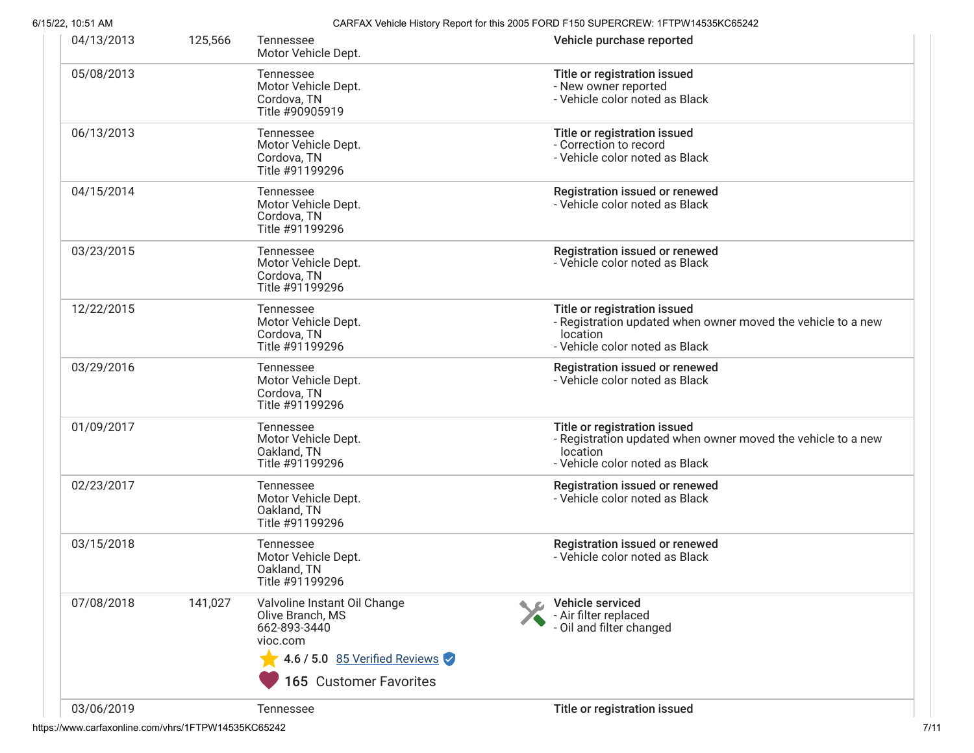| 04/13/2013 | 125,566 | Tennessee<br>Motor Vehicle Dept.                                                                                                        | Vehicle purchase reported                                                                                                                  |
|------------|---------|-----------------------------------------------------------------------------------------------------------------------------------------|--------------------------------------------------------------------------------------------------------------------------------------------|
| 05/08/2013 |         | Tennessee<br>Motor Vehicle Dept.<br>Cordova, TN<br>Title #90905919                                                                      | Title or registration issued<br>- New owner reported<br>- Vehicle color noted as Black                                                     |
| 06/13/2013 |         | Tennessee<br>Motor Vehicle Dept.<br>Cordova, TN<br>Title #91199296                                                                      | Title or registration issued<br>- Correction to record<br>- Vehicle color noted as Black                                                   |
| 04/15/2014 |         | Tennessee<br>Motor Vehicle Dept.<br>Cordova, TN<br>Title #91199296                                                                      | Registration issued or renewed<br>- Vehicle color noted as Black                                                                           |
| 03/23/2015 |         | Tennessee<br>Motor Vehicle Dept.<br>Cordova, TN<br>Title #91199296                                                                      | Registration issued or renewed<br>- Vehicle color noted as Black                                                                           |
| 12/22/2015 |         | Tennessee<br>Motor Vehicle Dept.<br>Cordova, TN<br>Title #91199296                                                                      | Title or registration issued<br>- Registration updated when owner moved the vehicle to a new<br>location<br>- Vehicle color noted as Black |
| 03/29/2016 |         | Tennessee<br>Motor Vehicle Dept.<br>Cordova, TN<br>Title #91199296                                                                      | Registration issued or renewed<br>- Vehicle color noted as Black                                                                           |
| 01/09/2017 |         | <b>Tennessee</b><br>Motor Vehicle Dept.<br>Oakland, TN<br>Title #91199296                                                               | Title or registration issued<br>- Registration updated when owner moved the vehicle to a new<br>location<br>- Vehicle color noted as Black |
| 02/23/2017 |         | Tennessee<br>Motor Vehicle Dept.<br>Oakland, TN<br>Title #91199296                                                                      | Registration issued or renewed<br>- Vehicle color noted as Black                                                                           |
| 03/15/2018 |         | Tennessee<br>Motor Vehicle Dept.<br>Oakland, TN<br>Title #91199296                                                                      | Registration issued or renewed<br>- Vehicle color noted as Black                                                                           |
| 07/08/2018 | 141,027 | Valvoline Instant Oil Change<br>Olive Branch, MS<br>662-893-3440<br>vioc.com<br>4.6 / 5.0 85 Verified Reviews<br>165 Customer Favorites | Vehicle serviced<br>- Air filter replaced<br>- Oil and filter changed                                                                      |
| 03/06/2019 |         | Tennessee                                                                                                                               | Title or registration issued                                                                                                               |

https://www.carfaxonline.com/vhrs/1FTPW14535KC65242 7/11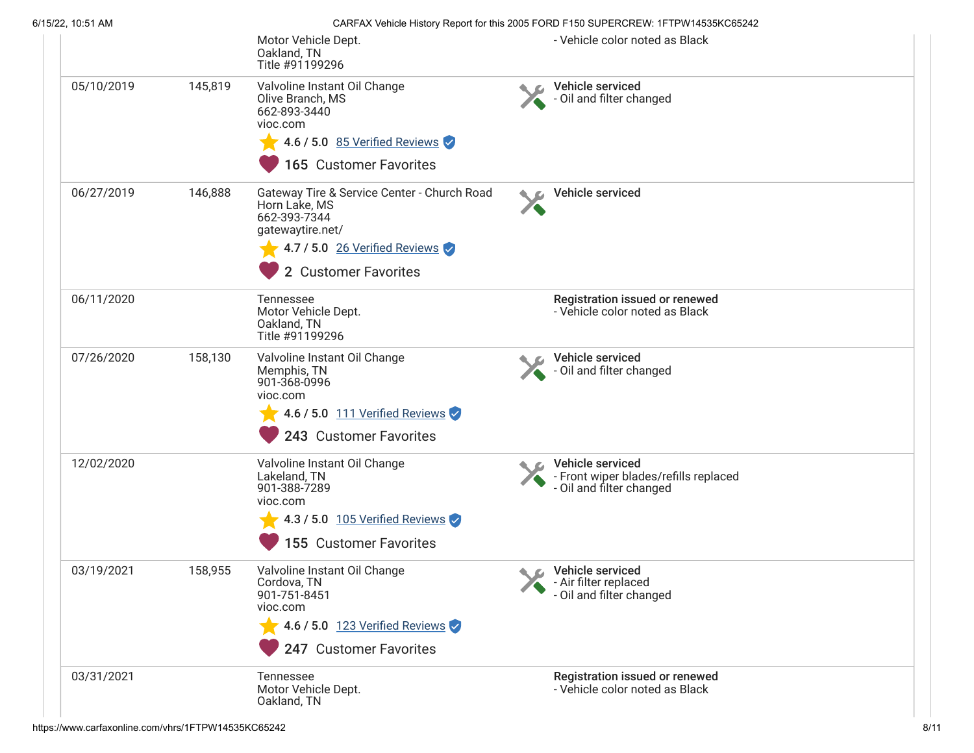|            |         | Motor Vehicle Dept.<br>Oakland, TN<br>Title #91199296                                                                                                                           | - Vehicle color noted as Black                                                        |
|------------|---------|---------------------------------------------------------------------------------------------------------------------------------------------------------------------------------|---------------------------------------------------------------------------------------|
| 05/10/2019 | 145,819 | Valvoline Instant Oil Change<br>Olive Branch, MS<br>662-893-3440<br>vioc.com<br>4.6 / 5.0 85 Verified Reviews<br>165 Customer Favorites                                         | Vehicle serviced<br>- Oil and filter changed                                          |
| 06/27/2019 | 146,888 | Gateway Tire & Service Center - Church Road<br>Horn Lake, MS<br>662-393-7344<br>gatewaytire.net/<br>$\blacktriangleright$ 4.7 / 5.0 26 Verified Reviews<br>2 Customer Favorites | Vehicle serviced                                                                      |
| 06/11/2020 |         | Tennessee<br>Motor Vehicle Dept.<br>Oakland, TN<br>Title #91199296                                                                                                              | Registration issued or renewed<br>- Vehicle color noted as Black                      |
| 07/26/2020 | 158,130 | Valvoline Instant Oil Change<br>Memphis, TN<br>901-368-0996<br>vioc.com<br>4.6 / 5.0 111 Verified Reviews<br>243 Customer Favorites                                             | Vehicle serviced<br>- Oil and filter changed                                          |
| 12/02/2020 |         | Valvoline Instant Oil Change<br>Lakeland, TN<br>901-388-7289<br>vioc.com<br>4.3 / 5.0 $105$ Verified Reviews<br>155 Customer Favorites                                          | Vehicle serviced<br>- Front wiper blades/refills replaced<br>- Oil and filter changed |
| 03/19/2021 | 158,955 | Valvoline Instant Oil Change<br>Cordova, TN<br>901-751-8451<br>vioc.com<br>4.6 / 5.0 123 Verified Reviews<br>247 Customer Favorites                                             | C Vehicle serviced<br>- Air filter replaced<br>- Oil and filter changed               |
| 03/31/2021 |         | Tennessee<br>Motor Vehicle Dept.<br>Oakland, TN                                                                                                                                 | Registration issued or renewed<br>- Vehicle color noted as Black                      |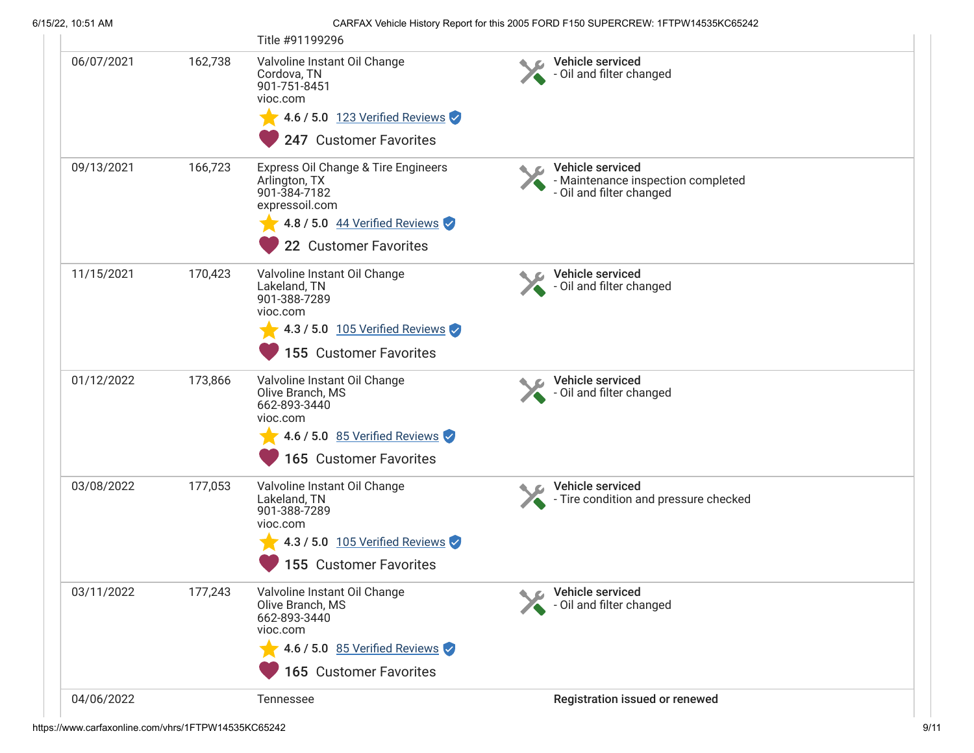|            |         | Title #91199296                                                                                                                                            |                                                                                    |
|------------|---------|------------------------------------------------------------------------------------------------------------------------------------------------------------|------------------------------------------------------------------------------------|
| 06/07/2021 | 162,738 | Valvoline Instant Oil Change<br>Cordova, TN<br>901-751-8451<br>vioc.com<br>4.6 / 5.0 $123$ Verified Reviews<br>247 Customer Favorites                      | Vehicle serviced<br>- Oil and filter changed                                       |
| 09/13/2021 | 166,723 | Express Oil Change & Tire Engineers<br>Arlington, TX<br>901-384-7182<br>expressoil.com<br>4.8 / 5.0 44 Verified Reviews<br>22 Customer Favorites           | Vehicle serviced<br>- Maintenance inspection completed<br>- Oil and filter changed |
| 11/15/2021 | 170,423 | Valvoline Instant Oil Change<br>Lakeland, TN<br>901-388-7289<br>vioc.com<br>$\blacktriangleright$ 4.3 / 5.0 105 Verified Reviews<br>155 Customer Favorites | Vehicle serviced<br>- Oil and filter changed                                       |
| 01/12/2022 | 173,866 | Valvoline Instant Oil Change<br>Olive Branch, MS<br>662-893-3440<br>vioc.com<br>4.6 / 5.0 85 Verified Reviews<br><b>165 Customer Favorites</b>             | Vehicle serviced<br>- Oil and filter changed                                       |
| 03/08/2022 | 177,053 | Valvoline Instant Oil Change<br>Lakeland, TN<br>901-388-7289<br>vioc.com<br>4.3 / 5.0 $105$ Verified Reviews<br>155 Customer Favorites                     | Vehicle serviced<br>- Tire condition and pressure checked                          |
| 03/11/2022 | 177,243 | Valvoline Instant Oil Change<br>Olive Branch, MS<br>662-893-3440<br>vioc.com<br>4.6 / 5.0 85 Verified Reviews<br>165 Customer Favorites                    | Vehicle serviced<br>- Oil and filter changed                                       |
| 04/06/2022 |         | Tennessee                                                                                                                                                  | Registration issued or renewed                                                     |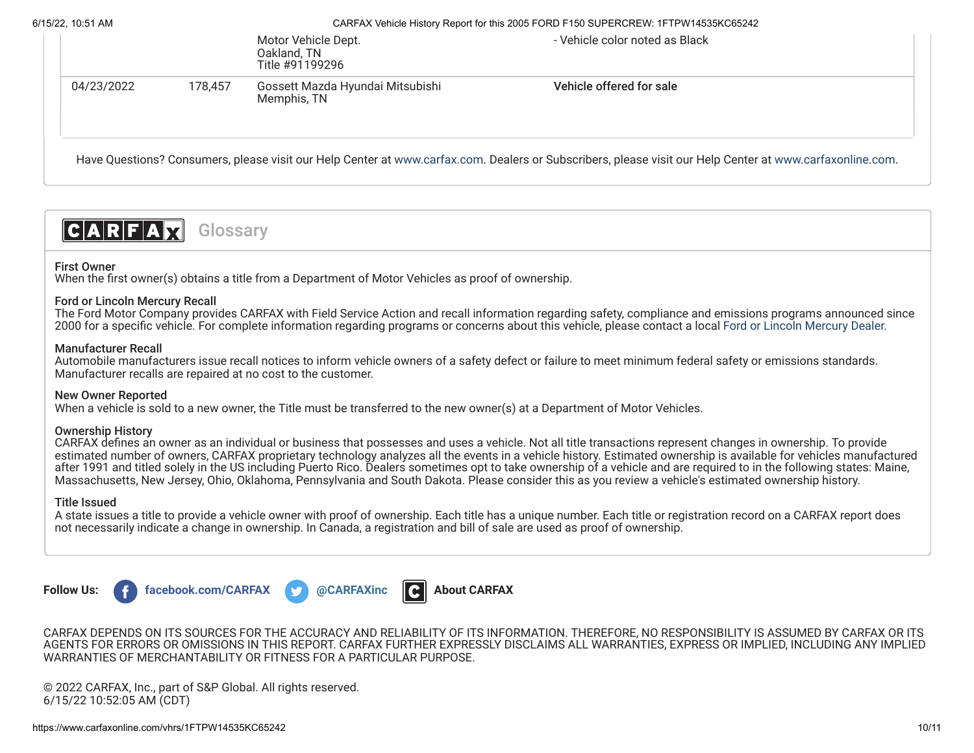|            |         | Motor Vehicle Dept.<br>Oakland, TN<br>Title #91199296 | - Vehicle color noted as Black                                                                                                                           |  |
|------------|---------|-------------------------------------------------------|----------------------------------------------------------------------------------------------------------------------------------------------------------|--|
| 04/23/2022 | 178.457 | Gossett Mazda Hyundai Mitsubishi<br>Memphis, TN       | Vehicle offered for sale                                                                                                                                 |  |
|            |         |                                                       | Have Questions? Consumers, please visit our Help Center at www.carfax.com. Dealers or Subscribers, please visit our Help Center at www.carfaxonline.com. |  |

#### $|C|A|R|F|A|\nabla|$ Glossary

# First Owner

When the first owner(s) obtains a title from a Department of Motor Vehicles as proof of ownership.

# Ford or Lincoln Mercury Recall

The Ford Motor Company provides CARFAX with Field Service Action and recall information regarding safety, compliance and emissions programs announced since 2000 for a specific vehicle. For complete information regarding programs or concerns about this vehicle, please contact a local [Ford or Lincoln Mercury Dealer.](http://www.fordvehicles.com/dealerships/locate/)

# Manufacturer Recall

Automobile manufacturers issue recall notices to inform vehicle owners of a safety defect or failure to meet minimum federal safety or emissions standards. Manufacturer recalls are repaired at no cost to the customer.

# New Owner Reported

When a vehicle is sold to a new owner, the Title must be transferred to the new owner(s) at a Department of Motor Vehicles.

# Ownership History

CARFAX defines an owner as an individual or business that possesses and uses a vehicle. Not all title transactions represent changes in ownership. To provide estimated number of owners, CARFAX proprietary technology analyzes all the events in a vehicle history. Estimated ownership is available for vehicles manufactured after 1991 and titled solely in the US including Puerto Rico. Dealers sometimes opt to take ownership of a vehicle and are required to in the following states: Maine, Massachusetts, New Jersey, Ohio, Oklahoma, Pennsylvania and South Dakota. Please consider this as you review a vehicle's estimated ownership history.

#### Title Issued

A state issues a title to provide a vehicle owner with proof of ownership. Each title has a unique number. Each title or registration record on a CARFAX report does not necessarily indicate a change in ownership. In Canada, a registration and bill of sale are used as proof of ownership.







CARFAX DEPENDS ON ITS SOURCES FOR THE ACCURACY AND RELIABILITY OF ITS INFORMATION. THEREFORE, NO RESPONSIBILITY IS ASSUMED BY CARFAX OR ITS AGENTS FOR ERRORS OR OMISSIONS IN THIS REPORT. CARFAX FURTHER EXPRESSLY DISCLAIMS ALL WARRANTIES, EXPRESS OR IMPLIED, INCLUDING ANY IMPLIED WARRANTIES OF MERCHANTABILITY OR FITNESS FOR A PARTICULAR PURPOSE.

© 2022 CARFAX, Inc., part of S&P Global. All rights reserved. 6/15/22 10:52:05 AM (CDT)